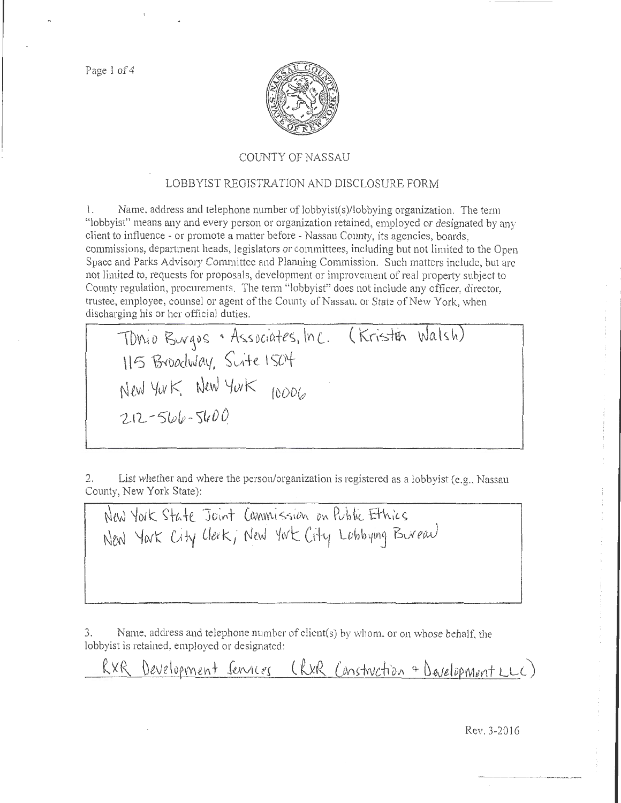Page 1 of 4



## COUNTY OF NASSAU

## LOBBYIST REGISTRATION AND DISCLOSURE FORM

1. Name, address and telephone number of lobbyist(s)/lobbying organization. The term "lobbyist" means any and every person or organization retained, employed or designated by any client to influence - or promote a matter before - Nassau County, its agencies, boards, commissions, department heads. legislators or committees, including but not limited to the Open Space and Parks Advisory Committee and Planning Commission. Such matters include, but are not limited to, requests for proposals, development or improvement of real property subject to County regulation, procurements. The term "lobbyist" does not include any officer, director, trustee, employee, counsel or agent of the County of Nassau, or State of New York, when discharging his or her official duties.

Tonio Burgos . Associates, Inc. (Kristen Walsh) \ItS ~vodvJ (l.\f, ~vi+ *e.* I s-ot  $NewYwK$  New York  $_{10006}$  $2.12 - 5106 - 5600$ 

2. List whether and where the person/organization is registered as a lobbyist (e.g., Nassau County, New York State):

New York State Joint Canmission on Public Ethics New York City Clerk, New York City Lobbying Bureau

3. Name, address and telephone number of client(s) by whom. or on whose behalf, the lobbyist is retained, employed or designated:

RXR Development Services (RXR Construction & Development LLC)

Rev. 3-2016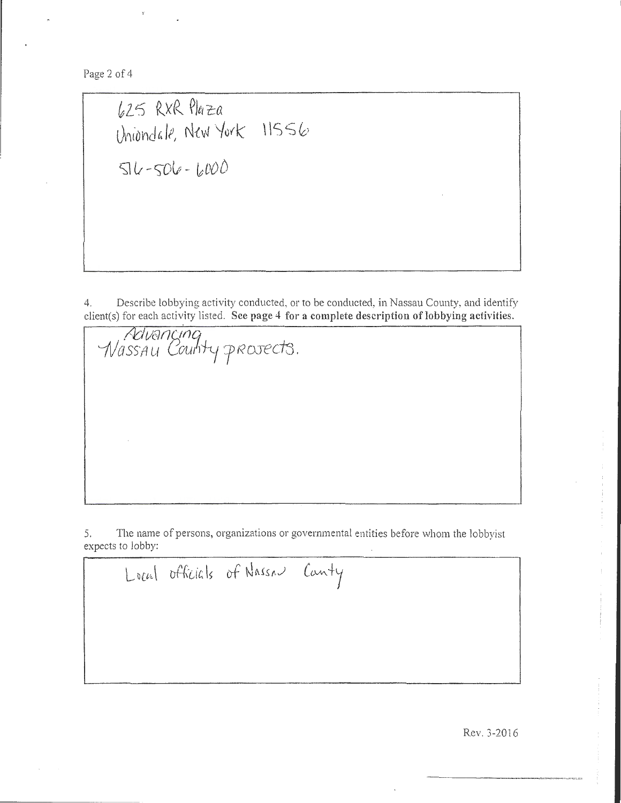Page 2 of 4

 $625$  RXR  $Pla$ za Uniondale, New York  $\;$  11556  $506 - 6000$ 

*Novencing*<br>Wassau County prosects.

4. Describe lobbying activity conducted, or to be conducted, in Nassau County, and identify client(s) for each activity listed. See page 4 for a complete description of lobbying activities.

5. The name of persons, organizations or governmental entities before whom the lobbyist expects to lobby:

Local officials of Nassau Canty

Rev. 3-20!6